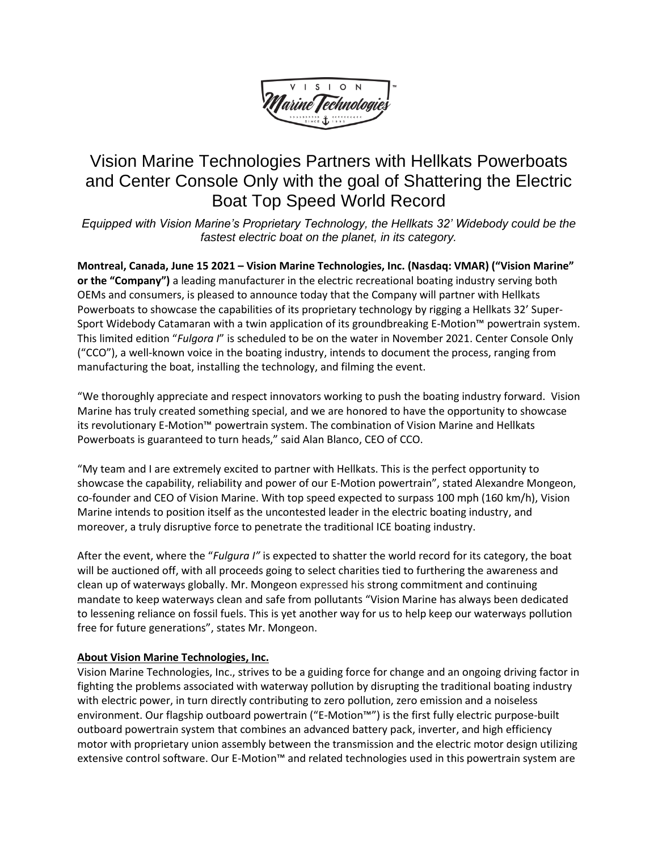

# Vision Marine Technologies Partners with Hellkats Powerboats and Center Console Only with the goal of Shattering the Electric Boat Top Speed World Record

*Equipped with Vision Marine's Proprietary Technology, the Hellkats 32' Widebody could be the fastest electric boat on the planet, in its category.*

**Montreal, Canada, June 15 2021 – [Vision Marine Technologies, Inc.](https://visionmarinetechnologies.com/en/home/) (Nasdaq: VMAR) ("Vision Marine" or the "Company")** a leading manufacturer in the electric recreational boating industry serving both OEMs and consumers, is pleased to announce today that the Company will partner with Hellkats Powerboats to showcase the capabilities of its proprietary technology by rigging a Hellkats 32' Super-Sport Widebody Catamaran with a twin application of its groundbreaking E-Motion™ powertrain system. This limited edition "*Fulgora I*" is scheduled to be on the water in November 2021. Center Console Only ("CCO"), a well-known voice in the boating industry, intends to document the process, ranging from manufacturing the boat, installing the technology, and filming the event.

"We thoroughly appreciate and respect innovators working to push the boating industry forward. Vision Marine has truly created something special, and we are honored to have the opportunity to showcase its revolutionary E-Motion™ powertrain system. The combination of Vision Marine and Hellkats Powerboats is guaranteed to turn heads," said Alan Blanco, CEO of CCO.

"My team and I are extremely excited to partner with Hellkats. This is the perfect opportunity to showcase the capability, reliability and power of our E-Motion powertrain", stated Alexandre Mongeon, co-founder and CEO of Vision Marine. With top speed expected to surpass 100 mph (160 km/h), Vision Marine intends to position itself as the uncontested leader in the electric boating industry, and moreover, a truly disruptive force to penetrate the traditional ICE boating industry.

After the event, where the "*Fulgura I"* is expected to shatter the world record for its category, the boat will be auctioned off, with all proceeds going to select charities tied to furthering the awareness and clean up of waterways globally. Mr. Mongeon expressed his strong commitment and continuing mandate to keep waterways clean and safe from pollutants "Vision Marine has always been dedicated to lessening reliance on fossil fuels. This is yet another way for us to help keep our waterways pollution free for future generations", states Mr. Mongeon.

# **About Vision Marine Technologies, Inc.**

Vision Marine Technologies, Inc., strives to be a guiding force for change and an ongoing driving factor in fighting the problems associated with waterway pollution by disrupting the traditional boating industry with electric power, in turn directly contributing to zero pollution, zero emission and a noiseless environment. Our flagship outboard powertrain ("E-Motion™") is the first fully electric purpose-built outboard powertrain system that combines an advanced battery pack, inverter, and high efficiency motor with proprietary union assembly between the transmission and the electric motor design utilizing extensive control software. Our E-Motion™ and related technologies used in this powertrain system are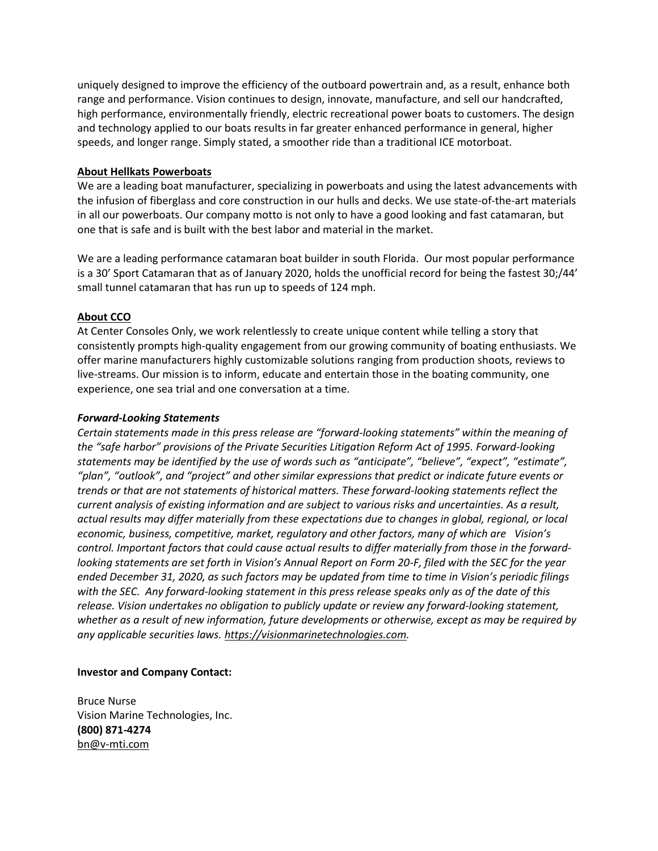uniquely designed to improve the efficiency of the outboard powertrain and, as a result, enhance both range and performance. Vision continues to design, innovate, manufacture, and sell our handcrafted, high performance, environmentally friendly, electric recreational power boats to customers. The design and technology applied to our boats results in far greater enhanced performance in general, higher speeds, and longer range. Simply stated, a smoother ride than a traditional ICE motorboat.

# **About Hellkats Powerboats**

We are a leading boat manufacturer, specializing in powerboats and using the latest advancements with the infusion of fiberglass and core construction in our hulls and decks. We use state-of-the-art materials in all our powerboats. Our company motto is not only to have a good looking and fast catamaran, but one that is safe and is built with the best labor and material in the market.

We are a leading performance catamaran boat builder in south Florida. Our most popular performance is a 30' Sport Catamaran that as of January 2020, holds the unofficial record for being the fastest 30;/44' small tunnel catamaran that has run up to speeds of 124 mph.

# **About CCO**

At Center Consoles Only, we work relentlessly to create unique content while telling a story that consistently prompts high-quality engagement from our growing community of boating enthusiasts. We offer marine manufacturers highly customizable solutions ranging from production shoots, reviews to live-streams. Our mission is to inform, educate and entertain those in the boating community, one experience, one sea trial and one conversation at a time.

# *Forward-Looking Statements*

*Certain statements made in this press release are "forward-looking statements" within the meaning of the "safe harbor" provisions of the Private Securities Litigation Reform Act of 1995. Forward-looking statements may be identified by the use of words such as "anticipate", "believe", "expect", "estimate", "plan", "outlook", and "project" and other similar expressions that predict or indicate future events or trends or that are not statements of historical matters. These forward-looking statements reflect the current analysis of existing information and are subject to various risks and uncertainties. As a result, actual results may differ materially from these expectations due to changes in global, regional, or local economic, business, competitive, market, regulatory and other factors, many of which are Vision's control. Important factors that could cause actual results to differ materially from those in the forwardlooking statements are set forth in Vision's Annual Report on Form 20-F, filed with the SEC for the year ended December 31, 2020, as such factors may be updated from time to time in Vision's periodic filings with the SEC. Any forward-looking statement in this press release speaks only as of the date of this release. Vision undertakes no obligation to publicly update or review any forward-looking statement, whether as a result of new information, future developments or otherwise, except as may be required by any applicable securities laws. [https://visionmarinetechnologies.com.](https://visionmarinetechnologies.comj/)*

# **Investor and Company Contact:**

Bruce Nurse Vision Marine Technologies, Inc. **(800) 871-4274** [bn@v-mti.com](https://www.globenewswire.com/Tracker?data=InXg25dwkAziiKZVkKSC4qjcJXapDbg4DnFK3PyI-cMeBmiwCOubwNu0e53-YUsMawndLI5jZ98N4vQuDv1Dtg==)